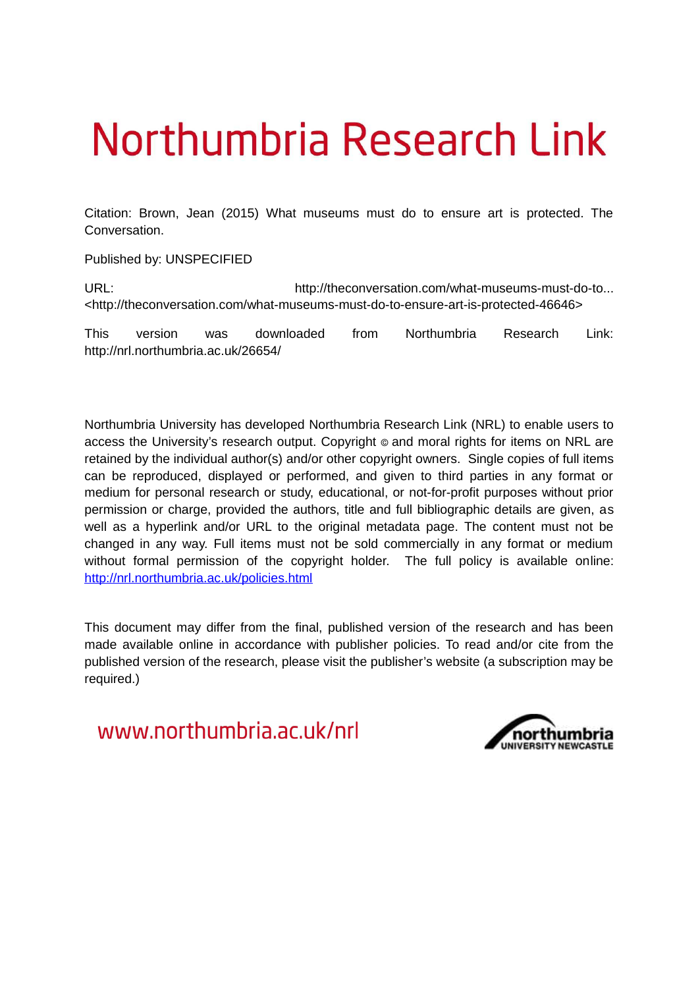# Northumbria Research Link

Citation: Brown, Jean (2015) What museums must do to ensure art is protected. The Conversation.

Published by: UNSPECIFIED

URL: URL: http://theconversation.com/what-museums-must-do-to... <http://theconversation.com/what-museums-must-do-to-ensure-art-is-protected-46646>

This version was downloaded from Northumbria Research Link: http://nrl.northumbria.ac.uk/26654/

Northumbria University has developed Northumbria Research Link (NRL) to enable users to access the University's research output. Copyright  $\circ$  and moral rights for items on NRL are retained by the individual author(s) and/or other copyright owners. Single copies of full items can be reproduced, displayed or performed, and given to third parties in any format or medium for personal research or study, educational, or not-for-profit purposes without prior permission or charge, provided the authors, title and full bibliographic details are given, as well as a hyperlink and/or URL to the original metadata page. The content must not be changed in any way. Full items must not be sold commercially in any format or medium without formal permission of the copyright holder. The full policy is available online: <http://nrl.northumbria.ac.uk/policies.html>

This document may differ from the final, published version of the research and has been made available online in accordance with publisher policies. To read and/or cite from the published version of the research, please visit the publisher's website (a subscription may be required.)

www.northumbria.ac.uk/nrl

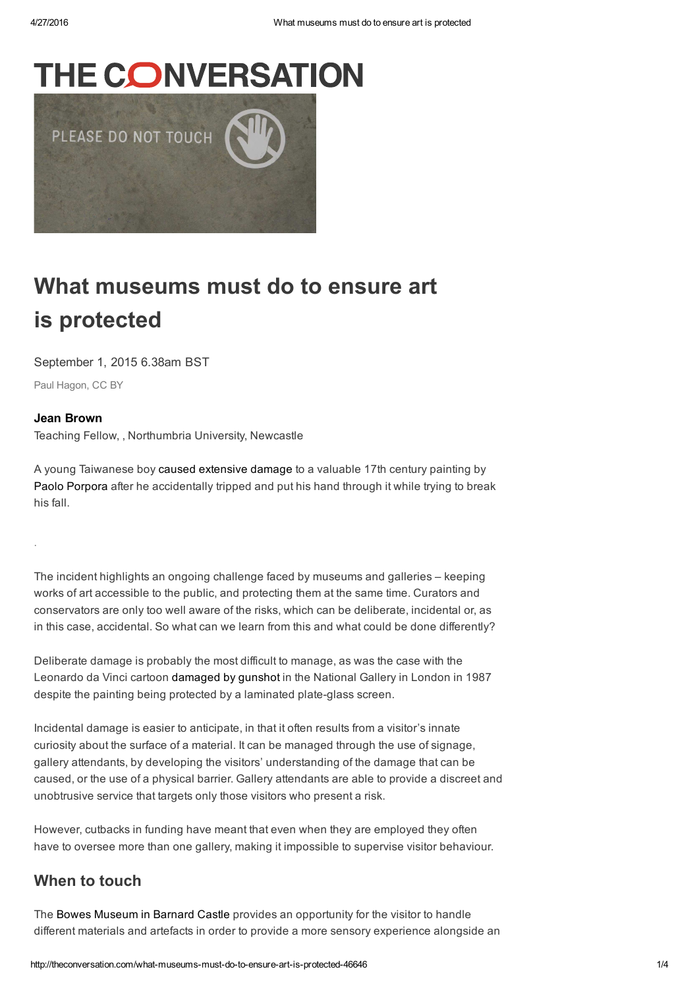## **THE CONVERSATION**



## What museums must do to ensure art is protected

September 1, 2015 6.38am BST

[Paul Hagon,](https://www.flickr.com/photos/paulhagon/7587747136) [CC BY](http://creativecommons.org/licenses/by/4.0/)

#### [Jean Brown](http://theconversation.com/profiles/jean-brown-186550)

.

Teaching Fellow, , Northumbria University, Newcastle

A young Taiwanese boy [caused extensive damage](http://www.bbc.co.uk/newsround/34051355) to a valuable 17th century painting by [Paolo Porpora](http://www.wga.hu/frames-e.html?/bio/p/porpora/biograph.html) after he accidentally tripped and put his hand through it while trying to break his fall.

The incident highlights an ongoing challenge faced by museums and galleries – keeping works of art accessible to the public, and protecting them at the same time. Curators and conservators are only too well aware of the risks, which can be deliberate, incidental or, as in this case, accidental. So what can we learn from this and what could be done differently?

Deliberate damage is probably the most difficult to manage, as was the case with the Leonardo da Vinci cartoon [damaged by gunshot](http://www.nytimes.com/1988/11/08/arts/restoring-a-leonardo-drawing-that-was-hit-by-a-shotgun-blast.html) in the National Gallery in London in 1987 despite the painting being protected by a laminated plate-glass screen.

Incidental damage is easier to anticipate, in that it often results from a visitor's innate curiosity about the surface of a material. It can be managed through the use of signage, gallery attendants, by developing the visitors' understanding of the damage that can be caused, or the use of a physical barrier. Gallery attendants are able to provide a discreet and unobtrusive service that targets only those visitors who present a risk.

However, cutbacks in funding have meant that even when they are employed they often have to oversee more than one gallery, making it impossible to supervise visitor behaviour.

#### When to touch

The [Bowes Museum in Barnard Castle](http://www.thebowesmuseum.org.uk/) provides an opportunity for the visitor to handle different materials and artefacts in order to provide a more sensory experience alongside an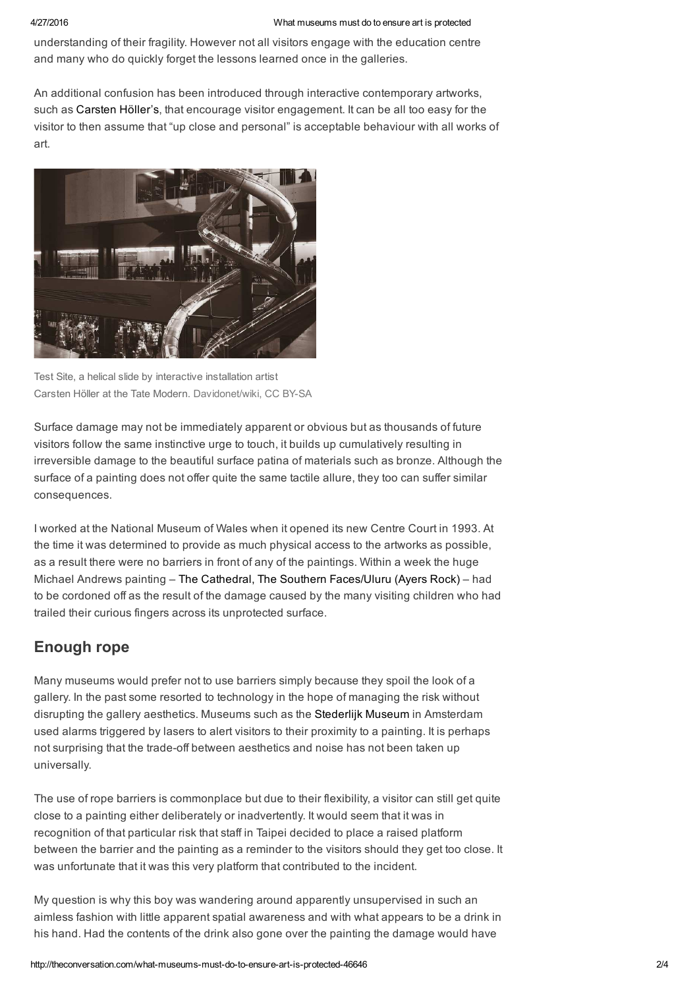#### 4/27/2016 What museums must do to ensure art is protected

understanding of their fragility. However not all visitors engage with the education centre and many who do quickly forget the lessons learned once in the galleries.

An additional confusion has been introduced through interactive contemporary artworks, such as [Carsten Höller's,](http://www.southbankcentre.co.uk/whatson/carsten-h%C3%B6ller-decision-91658?dt=2015-08-12) that encourage visitor engagement. It can be all too easy for the visitor to then assume that "up close and personal" is acceptable behaviour with all works of art.



Test Site, a helical slide by interactive installation artist Carsten Höller at the Tate Modern. [Davidonet/wiki](https://en.wikipedia.org/wiki/Carsten_H%C3%B6ller#/media/File:Carsten_holler_tate.jpg), CC BY-SA

Surface damage may not be immediately apparent or obvious but as thousands of future visitors follow the same instinctive urge to touch, it builds up cumulatively resulting in irreversible damage to the beautiful surface patina of materials such as bronze. Although the surface of a painting does not offer quite the same tactile allure, they too can suffer similar consequences.

I worked at the National Museum of Wales when it opened its new Centre Court in 1993. At the time it was determined to provide as much physical access to the artworks as possible, as a result there were no barriers in front of any of the paintings. Within a week the huge Michael Andrews painting – [The Cathedral, The Southern Faces/Uluru \(Ayers Rock\)](http://www.bbc.co.uk/arts/yourpaintings/paintings/the-cathedral-the-southern-facesuluru-ayers-rock) – had to be cordoned off as the result of the damage caused by the many visiting children who had trailed their curious fingers across its unprotected surface.

### Enough rope

Many museums would prefer not to use barriers simply because they spoil the look of a gallery. In the past some resorted to technology in the hope of managing the risk without disrupting the gallery aesthetics. Museums such as the [Stederlijk Museum](http://www.stedelijk.nl/en) in Amsterdam used alarms triggered by lasers to alert visitors to their proximity to a painting. It is perhaps not surprising that the trade-off between aesthetics and noise has not been taken up universally.

The use of rope barriers is commonplace but due to their flexibility, a visitor can still get quite close to a painting either deliberately or inadvertently. It would seem that it was in recognition of that particular risk that staff in Taipei decided to place a raised platform between the barrier and the painting as a reminder to the visitors should they get too close. It was unfortunate that it was this very platform that contributed to the incident.

My question is why this boy was wandering around apparently unsupervised in such an aimless fashion with little apparent spatial awareness and with what appears to be a drink in his hand. Had the contents of the drink also gone over the painting the damage would have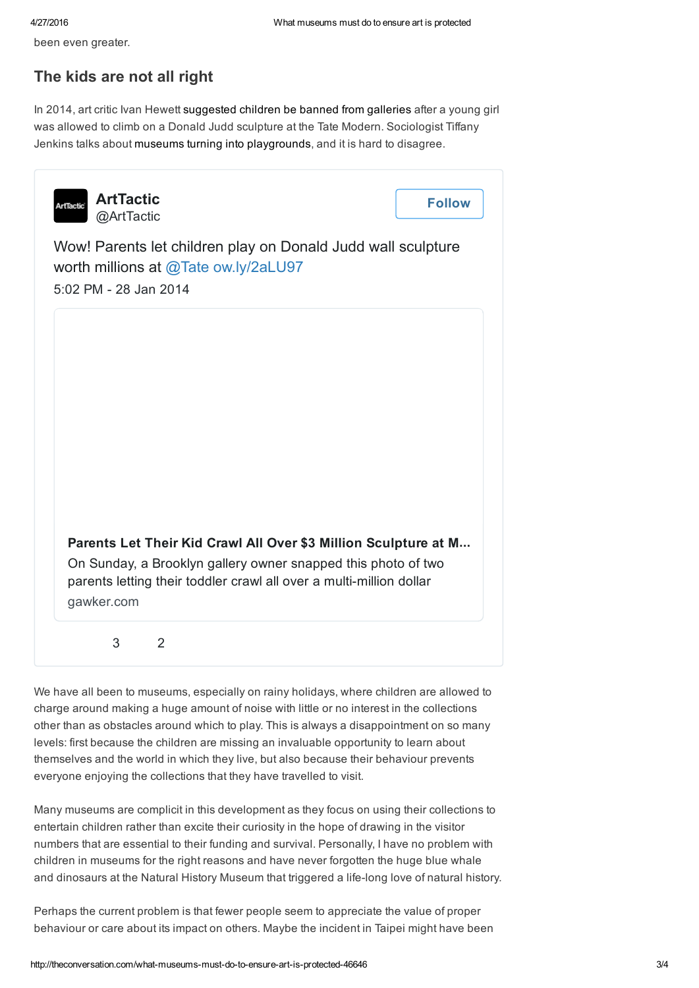been even greater.

### The kids are not all right

In 2014, art critic Ivan Hewett [suggested children be banned from galleries](http://www.telegraph.co.uk/culture/museums/10644502/Should-children-be-banned-from-museums.html) after a young girl was allowed to climb on a Donald Judd sculpture at the Tate Modern. Sociologist Tiffany Jenkins talks about [museums turning into playgrounds](http://www.ideastap.com/IdeasMag/all-articles/tiffany-jenkins-kids-museums-battle-of-ideas), and it is hard to disagree.

| <b>ArtTactic</b><br><b>ArtTactic</b><br>@ArtTactic |                                                                                                                                      | <b>Follow</b> |
|----------------------------------------------------|--------------------------------------------------------------------------------------------------------------------------------------|---------------|
| 5:02 PM - 28 Jan 2014                              | Wow! Parents let children play on Donald Judd wall sculpture<br>worth millions at @Tate ow.ly/2aLU97                                 |               |
|                                                    |                                                                                                                                      |               |
|                                                    |                                                                                                                                      |               |
|                                                    |                                                                                                                                      |               |
|                                                    | Parents Let Their Kid Crawl All Over \$3 Million Sculpture at M                                                                      |               |
| gawker.com                                         | On Sunday, a Brooklyn gallery owner snapped this photo of two<br>parents letting their toddler crawl all over a multi-million dollar |               |
| 3                                                  | 2                                                                                                                                    |               |

We have all been to museums, especially on rainy holidays, where children are allowed to charge around making a huge amount of noise with little or no interest in the collections other than as obstacles around which to play. This is always a disappointment on so many levels: first because the children are missing an invaluable opportunity to learn about themselves and the world in which they live, but also because their behaviour prevents everyone enjoying the collections that they have travelled to visit.

Many museums are complicit in this development as they focus on using their collections to entertain children rather than excite their curiosity in the hope of drawing in the visitor numbers that are essential to their funding and survival. Personally, I have no problem with children in museums for the right reasons and have never forgotten the huge blue whale and dinosaurs at the Natural History Museum that triggered a life-long love of natural history.

Perhaps the current problem is that fewer people seem to appreciate the value of proper behaviour or care about its impact on others. Maybe the incident in Taipei might have been